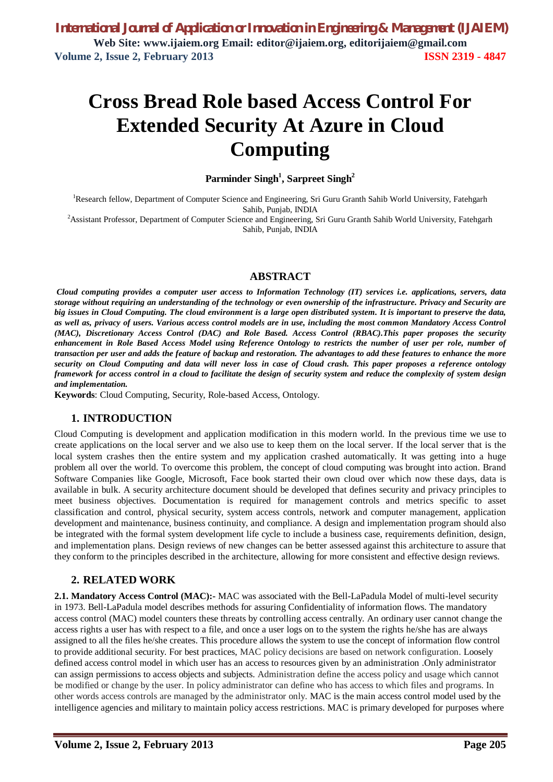# **Cross Bread Role based Access Control For Extended Security At Azure in Cloud Computing**

**Parminder Singh<sup>1</sup> , Sarpreet Singh<sup>2</sup>**

<sup>1</sup>Research fellow, Department of Computer Science and Engineering, Sri Guru Granth Sahib World University, Fatehgarh Sahib, Punjab, INDIA

<sup>2</sup>Assistant Professor, Department of Computer Science and Engineering, Sri Guru Granth Sahib World University, Fatehgarh Sahib, Punjab, INDIA

# **ABSTRACT**

*Cloud computing provides a computer user access to Information Technology (IT) services i.e. applications, servers, data storage without requiring an understanding of the technology or even ownership of the infrastructure. Privacy and Security are big issues in Cloud Computing. The cloud environment is a large open distributed system. It is important to preserve the data, as well as, privacy of users. Various access control models are in use, including the most common Mandatory Access Control (MAC), Discretionary Access Control (DAC) and Role Based. Access Control (RBAC).This paper proposes the security*  enhancement in Role Based Access Model using Reference Ontology to restricts the number of user per role, number of *transaction per user and adds the feature of backup and restoration. The advantages to add these features to enhance the more security on Cloud Computing and data will never loss in case of Cloud crash. This paper proposes a reference ontology framework for access control in a cloud to facilitate the design of security system and reduce the complexity of system design and implementation.*

**Keywords**: Cloud Computing, Security, Role-based Access, Ontology.

# **1. INTRODUCTION**

Cloud Computing is development and application modification in this modern world. In the previous time we use to create applications on the local server and we also use to keep them on the local server. If the local server that is the local system crashes then the entire system and my application crashed automatically. It was getting into a huge problem all over the world. To overcome this problem, the concept of cloud computing was brought into action. Brand Software Companies like Google, Microsoft, Face book started their own cloud over which now these days, data is available in bulk. A security architecture document should be developed that defines security and privacy principles to meet business objectives. Documentation is required for management controls and metrics specific to asset classification and control, physical security, system access controls, network and computer management, application development and maintenance, business continuity, and compliance. A design and implementation program should also be integrated with the formal system development life cycle to include a business case, requirements definition, design, and implementation plans. Design reviews of new changes can be better assessed against this architecture to assure that they conform to the principles described in the architecture, allowing for more consistent and effective design reviews.

# **2. RELATED WORK**

**2.1. Mandatory Access Control (MAC):-** MAC was associated with the Bell-LaPadula Model of multi-level security in 1973. Bell-LaPadula model describes methods for assuring Confidentiality of information flows. The mandatory access control (MAC) model counters these threats by controlling access centrally. An ordinary user cannot change the access rights a user has with respect to a file, and once a user logs on to the system the rights he/she has are always assigned to all the files he/she creates. This procedure allows the system to use the concept of information flow control to provide additional security. For best practices, MAC policy decisions are based on network configuration. Loosely defined access control model in which user has an access to resources given by an administration .Only administrator can assign permissions to access objects and subjects. Administration define the access policy and usage which cannot be modified or change by the user. In policy administrator can define who has access to which files and programs. In other words access controls are managed by the administrator only. MAC is the main access control model used by the intelligence agencies and military to maintain policy access restrictions. MAC is primary developed for purposes where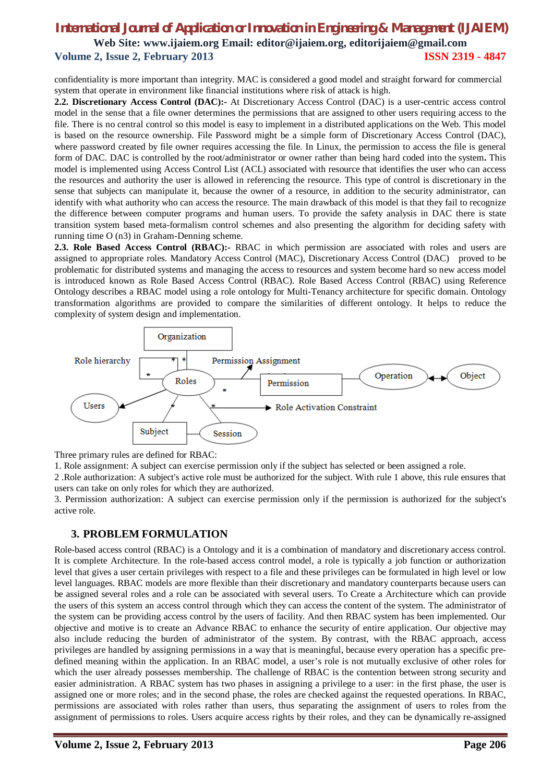# *International Journal of Application or Innovation in Engineering & Management (IJAIEM)* **Web Site: www.ijaiem.org Email: editor@ijaiem.org, editorijaiem@gmail.com Volume 2, Issue 2, February 2013 ISSN 2319 - 4847**

confidentiality is more important than integrity. MAC is considered a good model and straight forward for commercial system that operate in environment like financial institutions where risk of attack is high.

**2.2. Discretionary Access Control (DAC):-** At Discretionary Access Control (DAC) is a user-centric access control model in the sense that a file owner determines the permissions that are assigned to other users requiring access to the file. There is no central control so this model is easy to implement in a distributed applications on the Web. This model is based on the resource ownership. File Password might be a simple form of Discretionary Access Control (DAC), where password created by file owner requires accessing the file. In Linux, the permission to access the file is general form of DAC. DAC is controlled by the root/administrator or owner rather than being hard coded into the system**.** This model is implemented using Access Control List (ACL) associated with resource that identifies the user who can access the resources and authority the user is allowed in referencing the resource. This type of control is discretionary in the sense that subjects can manipulate it, because the owner of a resource, in addition to the security administrator, can identify with what authority who can access the resource. The main drawback of this model is that they fail to recognize the difference between computer programs and human users. To provide the safety analysis in DAC there is state transition system based meta-formalism control schemes and also presenting the algorithm for deciding safety with running time O (n3) in Graham-Denning scheme.

**2.3. Role Based Access Control (RBAC):-** RBAC in which permission are associated with roles and users are assigned to appropriate roles. Mandatory Access Control (MAC), Discretionary Access Control (DAC) proved to be problematic for distributed systems and managing the access to resources and system become hard so new access model is introduced known as Role Based Access Control (RBAC). Role Based Access Control (RBAC) using Reference Ontology describes a RBAC model using a role ontology for Multi-Tenancy architecture for specific domain. Ontology transformation algorithms are provided to compare the similarities of different ontology. It helps to reduce the complexity of system design and implementation.



Three primary rules are defined for RBAC:

1. Role assignment: A subject can exercise permission only if the subject has selected or been assigned a role.

2 .Role authorization: A subject's active role must be authorized for the subject. With rule 1 above, this rule ensures that users can take on only roles for which they are authorized.

3. Permission authorization: A subject can exercise permission only if the permission is authorized for the subject's active role.

# **3. PROBLEM FORMULATION**

Role-based access control (RBAC) is a Ontology and it is a combination of mandatory and discretionary access control. It is complete Architecture. In the role-based access control model, a role is typically a job function or authorization level that gives a user certain privileges with respect to a file and these privileges can be formulated in high level or low level languages. RBAC models are more flexible than their discretionary and mandatory counterparts because users can be assigned several roles and a role can be associated with several users. To Create a Architecture which can provide the users of this system an access control through which they can access the content of the system. The administrator of the system can be providing access control by the users of facility. And then RBAC system has been implemented. Our objective and motive is to create an Advance RBAC to enhance the security of entire application. Our objective may also include reducing the burden of administrator of the system. By contrast, with the RBAC approach, access privileges are handled by assigning permissions in a way that is meaningful, because every operation has a specific predefined meaning within the application. In an RBAC model, a user's role is not mutually exclusive of other roles for which the user already possesses membership. The challenge of RBAC is the contention between strong security and easier administration. A RBAC system has two phases in assigning a privilege to a user: in the first phase, the user is assigned one or more roles; and in the second phase, the roles are checked against the requested operations. In RBAC, permissions are associated with roles rather than users, thus separating the assignment of users to roles from the assignment of permissions to roles. Users acquire access rights by their roles, and they can be dynamically re-assigned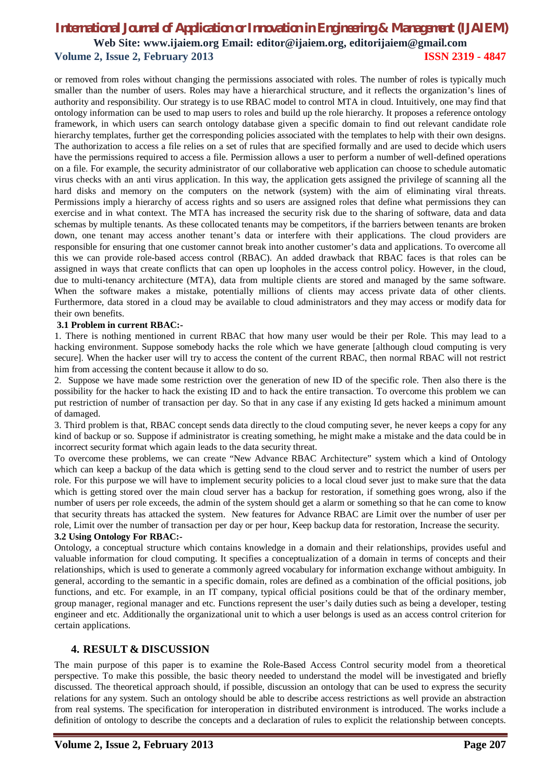# *International Journal of Application or Innovation in Engineering & Management (IJAIEM)* **Web Site: www.ijaiem.org Email: editor@ijaiem.org, editorijaiem@gmail.com Volume 2, Issue 2, February 2013 ISSN 2319 - 4847**

or removed from roles without changing the permissions associated with roles. The number of roles is typically much smaller than the number of users. Roles may have a hierarchical structure, and it reflects the organization's lines of authority and responsibility. Our strategy is to use RBAC model to control MTA in cloud. Intuitively, one may find that ontology information can be used to map users to roles and build up the role hierarchy. It proposes a reference ontology framework, in which users can search ontology database given a specific domain to find out relevant candidate role hierarchy templates, further get the corresponding policies associated with the templates to help with their own designs. The authorization to access a file relies on a set of rules that are specified formally and are used to decide which users have the permissions required to access a file. Permission allows a user to perform a number of well-defined operations on a file. For example, the security administrator of our collaborative web application can choose to schedule automatic virus checks with an anti virus application. In this way, the application gets assigned the privilege of scanning all the hard disks and memory on the computers on the network (system) with the aim of eliminating viral threats. Permissions imply a hierarchy of access rights and so users are assigned roles that define what permissions they can exercise and in what context. The MTA has increased the security risk due to the sharing of software, data and data schemas by multiple tenants. As these collocated tenants may be competitors, if the barriers between tenants are broken down, one tenant may access another tenant's data or interfere with their applications. The cloud providers are responsible for ensuring that one customer cannot break into another customer's data and applications. To overcome all this we can provide role-based access control (RBAC). An added drawback that RBAC faces is that roles can be assigned in ways that create conflicts that can open up loopholes in the access control policy. However, in the cloud, due to multi-tenancy architecture (MTA), data from multiple clients are stored and managed by the same software. When the software makes a mistake, potentially millions of clients may access private data of other clients. Furthermore, data stored in a cloud may be available to cloud administrators and they may access or modify data for their own benefits.

#### **3.1 Problem in current RBAC:-**

1. There is nothing mentioned in current RBAC that how many user would be their per Role. This may lead to a hacking environment. Suppose somebody hacks the role which we have generate [although cloud computing is very secure]. When the hacker user will try to access the content of the current RBAC, then normal RBAC will not restrict him from accessing the content because it allow to do so.

2. Suppose we have made some restriction over the generation of new ID of the specific role. Then also there is the possibility for the hacker to hack the existing ID and to hack the entire transaction. To overcome this problem we can put restriction of number of transaction per day. So that in any case if any existing Id gets hacked a minimum amount of damaged.

3. Third problem is that, RBAC concept sends data directly to the cloud computing sever, he never keeps a copy for any kind of backup or so. Suppose if administrator is creating something, he might make a mistake and the data could be in incorrect security format which again leads to the data security threat.

To overcome these problems, we can create "New Advance RBAC Architecture" system which a kind of Ontology which can keep a backup of the data which is getting send to the cloud server and to restrict the number of users per role. For this purpose we will have to implement security policies to a local cloud sever just to make sure that the data which is getting stored over the main cloud server has a backup for restoration, if something goes wrong, also if the number of users per role exceeds, the admin of the system should get a alarm or something so that he can come to know that security threats has attacked the system. New features for Advance RBAC are Limit over the number of user per role, Limit over the number of transaction per day or per hour, Keep backup data for restoration, Increase the security.

#### **3.2 Using Ontology For RBAC:-**

Ontology, a conceptual structure which contains knowledge in a domain and their relationships, provides useful and valuable information for cloud computing. It specifies a conceptualization of a domain in terms of concepts and their relationships, which is used to generate a commonly agreed vocabulary for information exchange without ambiguity. In general, according to the semantic in a specific domain, roles are defined as a combination of the official positions, job functions, and etc. For example, in an IT company, typical official positions could be that of the ordinary member, group manager, regional manager and etc. Functions represent the user's daily duties such as being a developer, testing engineer and etc. Additionally the organizational unit to which a user belongs is used as an access control criterion for certain applications.

# **4. RESULT & DISCUSSION**

The main purpose of this paper is to examine the Role-Based Access Control security model from a theoretical perspective. To make this possible, the basic theory needed to understand the model will be investigated and briefly discussed. The theoretical approach should, if possible, discussion an ontology that can be used to express the security relations for any system. Such an ontology should be able to describe access restrictions as well provide an abstraction from real systems. The specification for interoperation in distributed environment is introduced. The works include a definition of ontology to describe the concepts and a declaration of rules to explicit the relationship between concepts.